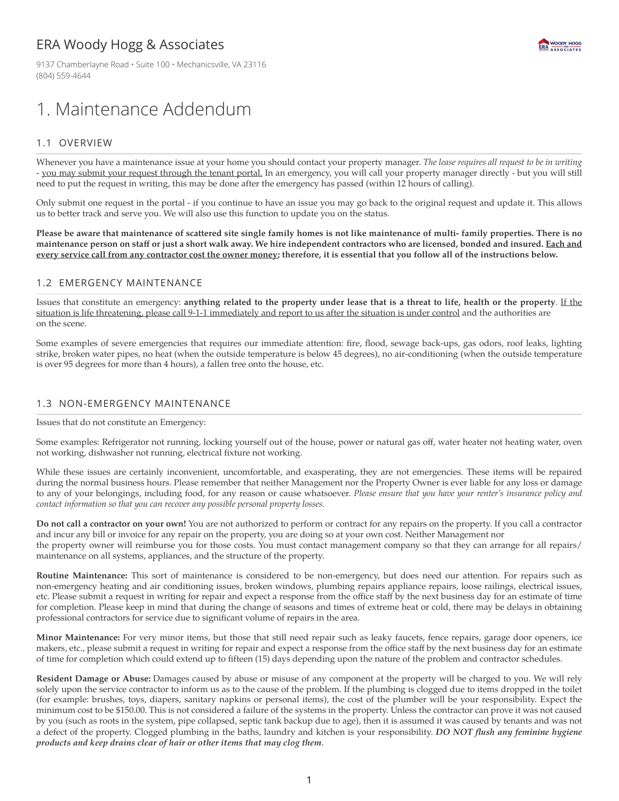# ERA Woody Hogg & Associates

9137 Chamberlayne Road · Suite 100 · Mechanicsville, VA 23116 (804) 559-4644

# 1. Maintenance Addendum

## 1.1 OVERVIEW

Whenever you have a maintenance issue at your home you should contact your property manager. *The lease requires all request to be in writing* - you may submit your request through the tenant portal. In an emergency, you will call your property manager directly - but you will still need to put the request in writing, this may be done after the emergency has passed (within 12 hours of calling).

Only submit one request in the portal - if you continue to have an issue you may go back to the original request and update it. This allows us to better track and serve you. We will also use this function to update you on the status.

Please be aware that maintenance of scattered site single family homes is not like maintenance of multi-family properties. There is no maintenance person on staff or just a short walk away. We hire independent contractors who are licensed, bonded and insured. Each and **every service call from any contractor cost the owner money; therefore, it is essential that you follow all of the instructions below.**

#### 1.2 EMERGENCY MAINTENANCE

Issues that constitute an emergency: anything related to the property under lease that is a threat to life, health or the property. If the situation is life threatening, please call 9-1-1 immediately and report to us after the situation is under control and the authorities are on the scene.

Some examples of severe emergencies that requires our immediate attention: fire, flood, sewage back-ups, gas odors, roof leaks, lighting strike, broken water pipes, no heat (when the outside temperature is below 45 degrees), no air-conditioning (when the outside temperature is over 95 degrees for more than 4 hours), a fallen tree onto the house, etc.

### 1.3 NON-EMERGENCY MAINTENANCE

Issues that do not constitute an Emergency:

Some examples: Refrigerator not running, locking yourself out of the house, power or natural gas off, water heater not heating water, oven not working, dishwasher not running, electrical fixture not working.

While these issues are certainly inconvenient, uncomfortable, and exasperating, they are not emergencies. These items will be repaired during the normal business hours. Please remember that neither Management nor the Property Owner is ever liable for any loss or damage to any of your belongings, including food, for any reason or cause whatsoever. *Please ensure that you have your renter's insurance policy and contact information so that you can recover any possible personal property losses.*

**Do not call a contractor on your own!** You are not authorized to perform or contract for any repairs on the property. If you call a contractor and incur any bill or invoice for any repair on the property, you are doing so at your own cost. Neither Management nor the property owner will reimburse you for those costs. You must contact management company so that they can arrange for all repairs/ maintenance on all systems, appliances, and the structure of the property.

**Routine Maintenance:** This sort of maintenance is considered to be non-emergency, but does need our attention. For repairs such as non‐emergency heating and air conditioning issues, broken windows, plumbing repairs appliance repairs, loose railings, electrical issues, etc. Please submit a request in writing for repair and expect a response from the office staff by the next business day for an estimate of time for completion. Please keep in mind that during the change of seasons and times of extreme heat or cold, there may be delays in obtaining professional contractors for service due to significant volume of repairs in the area.

**Minor Maintenance:** For very minor items, but those that still need repair such as leaky faucets, fence repairs, garage door openers, ice makers, etc., please submit a request in writing for repair and expect a response from the office staff by the next business day for an estimate of time for completion which could extend up to fifteen (15) days depending upon the nature of the problem and contractor schedules.

**Resident Damage or Abuse:** Damages caused by abuse or misuse of any component at the property will be charged to you. We will rely solely upon the service contractor to inform us as to the cause of the problem. If the plumbing is clogged due to items dropped in the toilet (for example: brushes, toys, diapers, sanitary napkins or personal items), the cost of the plumber will be your responsibility. Expect the minimum cost to be \$150.00. This is not considered a failure of the systems in the property. Unless the contractor can prove it was not caused by you (such as roots in the system, pipe collapsed, septic tank backup due to age), then it is assumed it was caused by tenants and was not a defect of the property. Clogged plumbing in the baths, laundry and kitchen is your responsibility. *DO NOT flush any feminine hygiene products and keep drains clear of hair or other items that may clog them*.